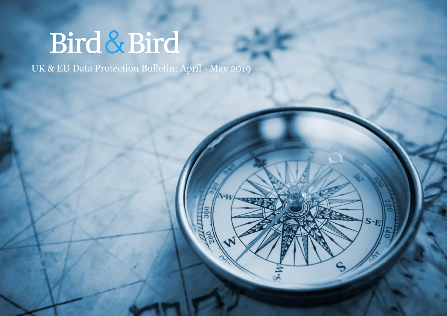# Bird & Bird

UK & EU Data Protection Bulletin: April - May 2019

 $7 - T$ 

**REAR DEA** 

 $\left|\mathbf{S}\text{-}\mathbf{E}\right|$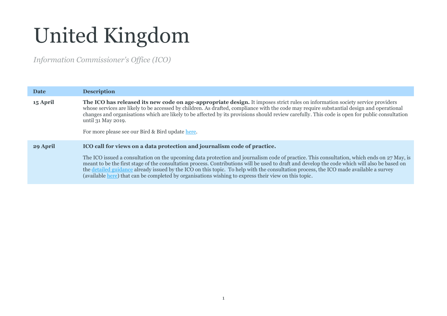## United Kingdom

*Information Commissioner's Office (ICO)*

| Date     | <b>Description</b>                                                                                                                                                                                                                                                                                                                                                                                                                                                                                                                                                                                                       |  |  |
|----------|--------------------------------------------------------------------------------------------------------------------------------------------------------------------------------------------------------------------------------------------------------------------------------------------------------------------------------------------------------------------------------------------------------------------------------------------------------------------------------------------------------------------------------------------------------------------------------------------------------------------------|--|--|
| 15 April | The ICO has released its new code on age-appropriate design. It imposes strict rules on information society service providers<br>whose services are likely to be accessed by children. As drafted, compliance with the code may require substantial design and operational<br>changes and organisations which are likely to be affected by its provisions should review carefully. This code is open for public consultation<br>until 31 May 2019.<br>For more please see our Bird & Bird update here.                                                                                                                   |  |  |
| 29 April | ICO call for views on a data protection and journalism code of practice.<br>The ICO issued a consultation on the upcoming data protection and journalism code of practice. This consultation, which ends on 27 May, is<br>meant to be the first stage of the consultation process. Contributions will be used to draft and develop the code which will also be based on<br>the detailed guidance already issued by the ICO on this topic. To help with the consultation process, the ICO made available a survey<br>(available here) that can be completed by organisations wishing to express their view on this topic. |  |  |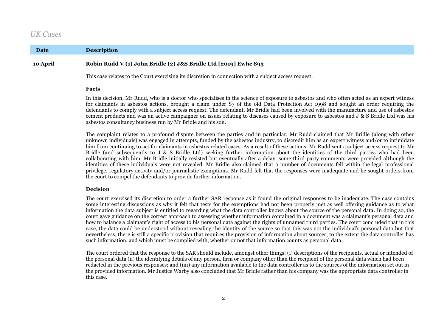## *UK Cases*

**Date Description**

### **10 April Robin Rudd V (1) John Bridle (2) J&S Bridle Ltd [2019] Ewhc 893**

This case relates to the Court exercising its discretion in connection with a subject access request.

#### **Facts**

In this decision, Mr Rudd, who is a doctor who specialises in the science of exposure to asbestos and who often acted as an expert witness for claimants in asbestos actions, brought a claim under S7 of the old Data Protection Act 1998 and sought an order requiring the defendants to comply with a subject access request. The defendant, Mr Bridle had been involved with the manufacture and use of asbestos cement products and was an active campaigner on issues relating to diseases caused by exposure to asbestos and J & S Bridle Ltd was his asbestos consultancy business run by Mr Bridle and his son.

The complaint relates to a profound dispute between the parties and in particular, Mr Rudd claimed that Mr Bridle (along with other unknown individuals) was engaged in attempts, funded by the asbestos industry, to discredit him as an expert witness and/or to intimidate him from continuing to act for claimants in asbestos related cases. As a result of these actions, Mr Rudd sent a subject access request to Mr Bridle (and subsequently to J & S Bridle Ltd) seeking further information about the identities of the third parties who had been collaborating with him. Mr Bridle initially resisted but eventually after a delay, some third party comments were provided although the identities of these individuals were not revealed. Mr Bridle also claimed that a number of documents fell within the legal professional privilege, regulatory activity and/or journalistic exemptions. Mr Rudd felt that the responses were inadequate and he sought orders from the court to compel the defendants to provide further information.

#### **Decision**

The court exercised its discretion to order a further SAR response as it found the original responses to be inadequate. The case contains some interesting discussions as why it felt that tests for the exemptions had not been properly met as well offering guidance as to what information the data subject is entitled to regarding what the data controller knows about the source of the personal data. In doing so, the court gave guidance on the correct approach to assessing whether information contained in a document was a claimant's personal data and how to balance a claimant's right of access to his personal data against the rights of unnamed third parties. The court concluded that in this case, the data could be understood without revealing the identity of the source so that this was not the individual's personal data but that nevertheless, there is still a specific provision that requires the provision of information about sources, to the extent the data controller has such information, and which must be complied with, whether or not that information counts as personal data.

The court ordered that the response to the SAR should include, amongst other things: (i) descriptions of the recipients, actual or intended of the personal data (ii) the identifying details of any person, firm or company other than the recipient of the personal data which had been redacted in the previous responses; and (iiii) any information available to the data controller as to the sources of the information set out in the provided information. Mr Justice Warby also concluded that Mr Bridle rather than his company was the appropriate data controller in this case.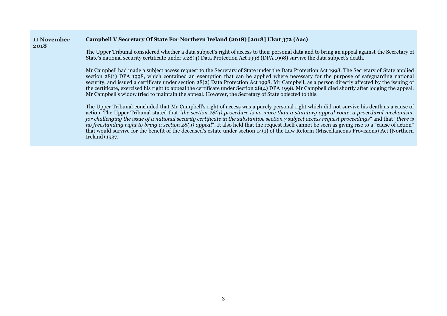#### **11 November Campbell V Secretary Of State For Northern Ireland (2018) [2018] Ukut 372 (Aac)**

#### **2018**

The Upper Tribunal considered whether a data subject's right of access to their personal data and to bring an appeal against the Secretary of State's national security certificate under s.28(4) Data Protection Act 1998 (DPA 1998) survive the data subject's death.

Mr Campbell had made a subject access request to the Secretary of State under the Data Protection Act 1998. The Secretary of State applied section 28(1) DPA 1998, which contained an exemption that can be applied where necessary for the purpose of safeguarding national security, and issued a certificate under section 28(2) Data Protection Act 1998. Mr Campbell, as a person directly affected by the issuing of the certificate, exercised his right to appeal the certificate under Section 28(4) DPA 1998. Mr Campbell died shortly after lodging the appeal. Mr Campbell's widow tried to maintain the appeal. However, the Secretary of State objected to this.

The Upper Tribunal concluded that Mr Campbell's right of access was a purely personal right which did not survive his death as a cause of action. The Upper Tribunal stated that "*the section 28(4) procedure is no more than a statutory appeal route, a procedural mechanism, for challenging the issue of a national security certificate in the substantive section 7 subject access request proceedings*" and that "*there is no freestanding right to bring a section 28(4) appeal*". It also held that the request itself cannot be seen as giving rise to a "cause of action" that would survive for the benefit of the deceased's estate under section 14(1) of the Law Reform (Miscellaneous Provisions) Act (Northern Ireland) 1937.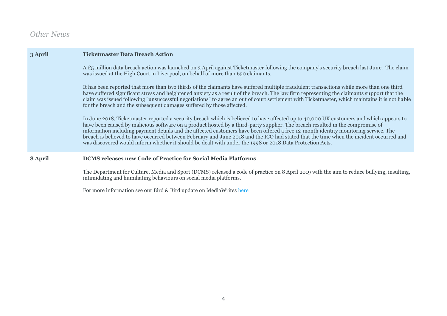## *Other News*

| 3 April | <b>Ticketmaster Data Breach Action</b>                                                                                                                                                                                                                                                                                                                                                                                                                                                                                                                                                                                                                                 |
|---------|------------------------------------------------------------------------------------------------------------------------------------------------------------------------------------------------------------------------------------------------------------------------------------------------------------------------------------------------------------------------------------------------------------------------------------------------------------------------------------------------------------------------------------------------------------------------------------------------------------------------------------------------------------------------|
|         | A £5 million data breach action was launched on 3 April against Ticketmaster following the company's security breach last June. The claim<br>was issued at the High Court in Liverpool, on behalf of more than 650 claimants.                                                                                                                                                                                                                                                                                                                                                                                                                                          |
|         | It has been reported that more than two thirds of the claimants have suffered multiple fraudulent transactions while more than one third<br>have suffered significant stress and heightened anxiety as a result of the breach. The law firm representing the claimants support that the<br>claim was issued following "unsuccessful negotiations" to agree an out of court settlement with Ticketmaster, which maintains it is not liable<br>for the breach and the subsequent damages suffered by those affected.                                                                                                                                                     |
|         | In June 2018, Ticketmaster reported a security breach which is believed to have affected up to 40,000 UK customers and which appears to<br>have been caused by malicious software on a product hosted by a third-party supplier. The breach resulted in the compromise of<br>information including payment details and the affected customers have been offered a free 12-month identity monitoring service. The<br>breach is believed to have occurred between February and June 2018 and the ICO had stated that the time when the incident occurred and<br>was discovered would inform whether it should be dealt with under the 1998 or 2018 Data Protection Acts. |
| 8 April | <b>DCMS</b> releases new Code of Practice for Social Media Platforms                                                                                                                                                                                                                                                                                                                                                                                                                                                                                                                                                                                                   |
|         | The Department for Culture, Media and Sport (DCMS) released a code of practice on 8 April 2019 with the aim to reduce bullying, insulting,<br>intimidating and humiliating behaviours on social media platforms.                                                                                                                                                                                                                                                                                                                                                                                                                                                       |

For more information see our Bird & Bird update on MediaWrites [here](https://www.mediawrites.law/dcms-releases-new-code-of-practice-for-social-media-platforms/#__prclt=2ACFOhsa)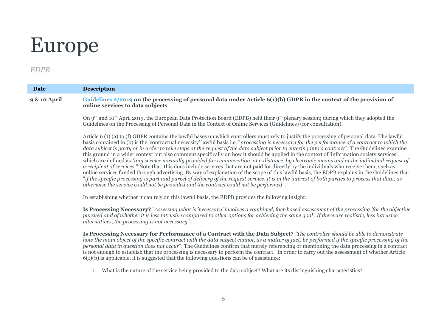## Europe

## *EDPB*

| Date                    | <b>Description</b>                                                                                                                                                                                                                                                                                                                                                                                                                                                                                                                                                                                                                                                                                                                                                                                                                                                                                                                                                                                                                                                                                                                                                                                                                                                                          |
|-------------------------|---------------------------------------------------------------------------------------------------------------------------------------------------------------------------------------------------------------------------------------------------------------------------------------------------------------------------------------------------------------------------------------------------------------------------------------------------------------------------------------------------------------------------------------------------------------------------------------------------------------------------------------------------------------------------------------------------------------------------------------------------------------------------------------------------------------------------------------------------------------------------------------------------------------------------------------------------------------------------------------------------------------------------------------------------------------------------------------------------------------------------------------------------------------------------------------------------------------------------------------------------------------------------------------------|
| <b>9 &amp; 10 April</b> | Guidelines $2/2019$ on the processing of personal data under Article $6(1)(b)$ GDPR in the context of the provision of<br>online services to data subjects                                                                                                                                                                                                                                                                                                                                                                                                                                                                                                                                                                                                                                                                                                                                                                                                                                                                                                                                                                                                                                                                                                                                  |
|                         | On 9th and 10th April 2019, the European Data Protection Board (EDPB) held their 9th plenary session; during which they adopted the<br>Guidelines on the Processing of Personal Data in the Context of Online Services (Guidelines) (for consultation).                                                                                                                                                                                                                                                                                                                                                                                                                                                                                                                                                                                                                                                                                                                                                                                                                                                                                                                                                                                                                                     |
|                         | Article 6 (1) (a) to (f) GDPR contains the lawful bases on which controllers must rely to justify the processing of personal data. The lawful<br>basis contained in (b) is the 'contractual necessity' lawful basis i.e. "processing is necessary for the performance of a contract to which the<br>data subject is party or in order to take steps at the request of the data subject prior to entering into a contract". The Guidelines examine<br>this ground in a wider context but also comment specifically on how it should be applied in the context of 'information society services',<br>which are defined as "any service normally provided for remuneration, at a distance, by electronic means and at the individual request of<br>a recipient of services." Note that, this does include services that are not paid for directly by the individuals who receive them, such as<br>online services funded through advertising. By way of explanation of the scope of this lawful basis, the EDPB explains in the Guidelines that,<br>"if the specific processing is part and parcel of delivery of the request service, it is in the interest of both parties to process that data, as<br>otherwise the service could not be provided and the contract could not be performed". |
|                         | In establishing whether it can rely on this lawful basis, the EDPB provides the following insight:                                                                                                                                                                                                                                                                                                                                                                                                                                                                                                                                                                                                                                                                                                                                                                                                                                                                                                                                                                                                                                                                                                                                                                                          |
|                         | Is Processing Necessary? "Assessing what is 'necessary' involves a combined, fact-based assessment of the processing 'for the objective<br>pursued and of whether it is less intrusive compared to other options for achieving the same goal'. If there are realistic, less intrusive<br>alternatives, the processing is not necessary".                                                                                                                                                                                                                                                                                                                                                                                                                                                                                                                                                                                                                                                                                                                                                                                                                                                                                                                                                    |
|                         | Is Processing Necessary for Performance of a Contract with the Data Subject? "The controller should be able to demonstrate<br>how the main object of the specific contract with the data subject cannot, as a matter of fact, be performed if the specific processing of the<br>personal data in question does not occur". The Guidelines confirm that merely referencing or mentioning the data processing in a contract<br>is not enough to establish that the processing is necessary to perform the contract. In order to carry out the assessment of whether Article<br>$6(1)(b)$ is applicable, it is suggested that the following questions can be of assistance:                                                                                                                                                                                                                                                                                                                                                                                                                                                                                                                                                                                                                    |
|                         | 1. What is the nature of the service being provided to the data subject? What are its distinguishing characteristics?                                                                                                                                                                                                                                                                                                                                                                                                                                                                                                                                                                                                                                                                                                                                                                                                                                                                                                                                                                                                                                                                                                                                                                       |
|                         |                                                                                                                                                                                                                                                                                                                                                                                                                                                                                                                                                                                                                                                                                                                                                                                                                                                                                                                                                                                                                                                                                                                                                                                                                                                                                             |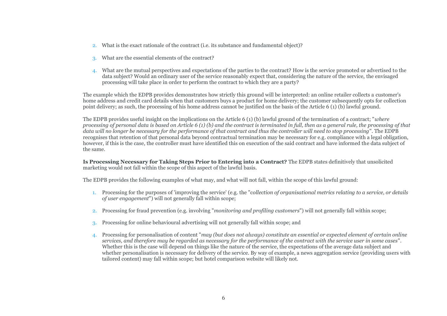- 2. What is the exact rationale of the contract (i.e. its substance and fundamental object)?
- 3. What are the essential elements of the contract?
- 4. What are the mutual perspectives and expectations of the parties to the contract? How is the service promoted or advertised to the data subject? Would an ordinary user of the service reasonably expect that, considering the nature of the service, the envisaged processing will take place in order to perform the contract to which they are a party?

The example which the EDPB provides demonstrates how strictly this ground will be interpreted: an online retailer collects a customer's home address and credit card details when that customers buys a product for home delivery; the customer subsequently opts for collection point delivery; as such, the processing of his home address cannot be justified on the basis of the Article 6 (1) (b) lawful ground.

The EDPB provides useful insight on the implications on the Article 6 (1) (b) lawful ground of the termination of a contract; "*where processing of personal data is based on Article 6 (1) (b) and the contract is terminated in full, then as a general rule, the processing of that data will no longer be necessary for the performance of that contract and thus the controller will need to stop processing*". The EDPB recognises that retention of that personal data beyond contractual termination may be necessary for e.g. compliance with a legal obligation, however, if this is the case, the controller must have identified this on execution of the said contract and have informed the data subject of the same.

**Is Processing Necessary for Taking Steps Prior to Entering into a Contract?** The EDPB states definitively that unsolicited marketing would not fall within the scope of this aspect of the lawful basis.

The EDPB provides the following examples of what may, and what will not fall, within the scope of this lawful ground:

- 1. Processing for the purposes of 'improving the service' (e.g. the "c*ollection of organisational metrics relating to a service, or details of user engagement*") will not generally fall within scope;
- 2. Processing for fraud prevention (e.g. involving "*monitoring and profiling customers*") will not generally fall within scope;
- 3. Processing for online behavioural advertising will not generally fall within scope; and
- 4. Processing for personalisation of content "*may (but does not always) constitute an essential or expected element of certain online services, and therefore may be regarded as necessary for the performance of the contract with the service user in some cases*". Whether this is the case will depend on things like the nature of the service, the expectations of the average data subject and whether personalisation is necessary for delivery of the service. By way of example, a news aggregation service (providing users with tailored content) may fall within scope; but hotel comparison website will likely not.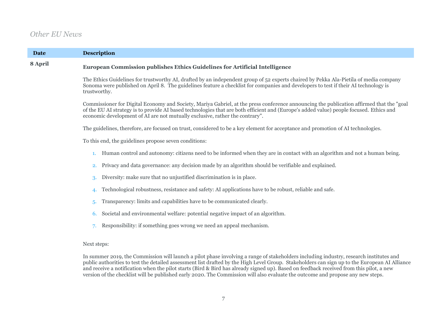## *Other EU News*

| <b>Date</b> | <b>Description</b>                                                                                                                                                                                                                                                                                                                                                  |  |  |  |
|-------------|---------------------------------------------------------------------------------------------------------------------------------------------------------------------------------------------------------------------------------------------------------------------------------------------------------------------------------------------------------------------|--|--|--|
| 8 April     | European Commission publishes Ethics Guidelines for Artificial Intelligence                                                                                                                                                                                                                                                                                         |  |  |  |
|             | The Ethics Guidelines for trustworthy AI, drafted by an independent group of 52 experts chaired by Pekka Ala-Pietila of media company<br>Sonoma were published on April 8. The guidelines feature a checklist for companies and developers to test if their AI technology is<br>trustworthy.                                                                        |  |  |  |
|             | Commissioner for Digital Economy and Society, Mariya Gabriel, at the press conference announcing the publication affirmed that the "goal<br>of the EU AI strategy is to provide AI based technologies that are both efficient and (Europe's added value) people focused. Ethics and<br>economic development of AI are not mutually exclusive, rather the contrary". |  |  |  |
|             | The guidelines, therefore, are focused on trust, considered to be a key element for acceptance and promotion of AI technologies.                                                                                                                                                                                                                                    |  |  |  |
|             | To this end, the guidelines propose seven conditions:                                                                                                                                                                                                                                                                                                               |  |  |  |
|             | Human control and autonomy: citizens need to be informed when they are in contact with an algorithm and not a human being.<br>1.                                                                                                                                                                                                                                    |  |  |  |
|             | Privacy and data governance: any decision made by an algorithm should be verifiable and explained.<br>2.                                                                                                                                                                                                                                                            |  |  |  |
|             | Diversity: make sure that no unjustified discrimination is in place.<br>3.                                                                                                                                                                                                                                                                                          |  |  |  |
|             | Technological robustness, resistance and safety: AI applications have to be robust, reliable and safe.<br>4.                                                                                                                                                                                                                                                        |  |  |  |
|             | Transparency: limits and capabilities have to be communicated clearly.<br>5.                                                                                                                                                                                                                                                                                        |  |  |  |
|             | Societal and environmental welfare: potential negative impact of an algorithm.<br>6.                                                                                                                                                                                                                                                                                |  |  |  |
|             | Responsibility: if something goes wrong we need an appeal mechanism.                                                                                                                                                                                                                                                                                                |  |  |  |
|             | Next steps:                                                                                                                                                                                                                                                                                                                                                         |  |  |  |
|             | In summer 2019, the Commission will launch a pilot phase involving a range of stakeholders including industry, research institutes and                                                                                                                                                                                                                              |  |  |  |

public authorities to test the detailed assessment list drafted by the High Level Group. Stakeholders can sign up to the European AI Alliance and receive a notification when the pilot starts (Bird & Bird has already signed up). Based on feedback received from this pilot, a new version of the checklist will be published early 2020. The Commission will also evaluate the outcome and propose any new steps.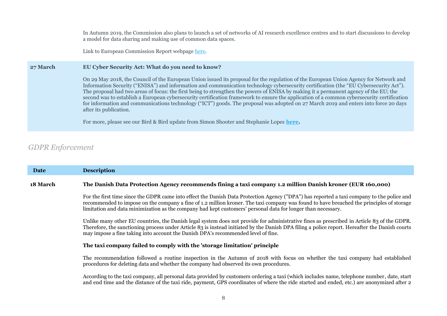In Autumn 2019, the Commission also plans to launch a set of networks of AI research excellence centres and to start discussions to develop a model for data sharing and making use of common data spaces.

Link to European Commission Report webpage [here.](https://ec.europa.eu/digital-single-market/en/news/ethics-guidelines-trustworthy-ai?utm_source=POLITICO.EU&utm_campaign=feb8c307b9-EMAIL_CAMPAIGN_2019_04_08_11_36&utm_medium=email&utm_term=0_10959edeb5-feb8c307b9-190446937)

#### **27 March EU Cyber Security Act: What do you need to know?**

On 29 May 2018, the Council of the European Union issued its proposal for the regulation of the European Union Agency for Network and Information Security ("ENISA") and information and communication technology cybersecurity certification (the "EU Cybersecurity Act"). The proposal had two areas of focus: the first being to strengthen the powers of ENISA by making it a permanent agency of the EU; the second was to establish a European cybersecurity certification framework to ensure the application of a common cybersecurity certification for information and communications technology ("ICT") goods. The proposal was adopted on 27 March 2019 and enters into force 20 days after its publication.

For more, please see our Bird & Bird update from Simon Shooter and Stephanie Lopes **[here.](https://www.twobirds.com/en/news/articles/2019/global/european-unions-new-cybersecurity-act)**

## *GDPR Enforcement*

| Date            | <b>Description</b>                                                                                                                                                                                                                                                                                                                                                                                     |  |  |  |
|-----------------|--------------------------------------------------------------------------------------------------------------------------------------------------------------------------------------------------------------------------------------------------------------------------------------------------------------------------------------------------------------------------------------------------------|--|--|--|
| <b>18 March</b> | The Danish Data Protection Agency recommends fining a taxi company 1.2 million Danish kroner (EUR 160,000)                                                                                                                                                                                                                                                                                             |  |  |  |
|                 | For the first time since the GDPR came into effect the Danish Data Protection Agency ("DPA") has reported a taxi company to the police and<br>recommended to impose on the company a fine of 1.2 million kroner. The taxi company was found to have breached the principles of storage<br>limitation and data minimization as the company had kept customers' personal data for longer than necessary. |  |  |  |
|                 | Unlike many other EU countries, the Danish legal system does not provide for administrative fines as prescribed in Article 83 of the GDPR.<br>Therefore, the sanctioning process under Article 83 is instead initiated by the Danish DPA filing a police report. Hereafter the Danish courts<br>may impose a fine taking into account the Danish DPA's recommended level of fine.                      |  |  |  |
|                 | The taxi company failed to comply with the 'storage limitation' principle                                                                                                                                                                                                                                                                                                                              |  |  |  |
|                 | The recommendation followed a routine inspection in the Autumn of 2018 with focus on whether the taxi company had established<br>procedures for deleting data and whether the company had observed its own procedures.                                                                                                                                                                                 |  |  |  |
|                 | According to the taxi company, all personal data provided by customers ordering a taxi (which includes name, telephone number, date, start<br>and end time and the distance of the taxi ride, payment, GPS coordinates of where the ride started and ended, etc.) are anonymized after 2                                                                                                               |  |  |  |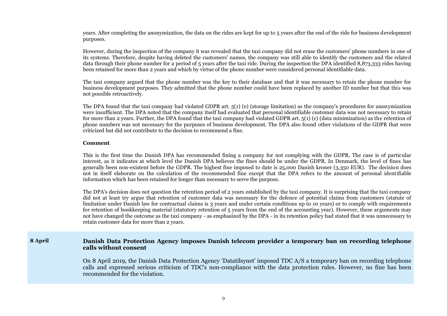years. After completing the anonymization, the data on the rides are kept for up to 5 years after the end of the ride for business development purposes.

However, during the inspection of the company it was revealed that the taxi company did not erase the customers' phone numbers in one of its systems. Therefore, despite having deleted the customers' names, the company was still able to identify the customers and the related data through their phone number for a period of 5 years after the taxi ride. During the inspection the DPA identified 8,873,333 rides having been retained for more than 2 years and which by virtue of the phone number were considered personal identifiable data.

The taxi company argued that the phone number was the key to their database and that it was necessary to retain the phone number for business development purposes. They admitted that the phone number could have been replaced by another ID number but that this was not possible retroactively.

The DPA found that the taxi company had violated GDPR art. 5(1) (e) (storage limitation) as the company's procedures for anonymization were insufficient. The DPA noted that the company itself had evaluated that personal identifiable customer data was not necessary to retain for more than 2 years. Further, the DPA found that the taxi company had violated GDPR art. 5(1) (c) (data minimization) as the retention of phone numbers was not necessary for the purposes of business development. The DPA also found other violations of the GDPR that were criticized but did not contribute to the decision to recommend a fine.

#### **Comment**

This is the first time the Danish DPA has recommended fining a company for not complying with the GDPR. The case is of particular interest, as it indicates at which level the Danish DPA believes the fines should be under the GDPR. In Denmark, the level of fines has generally been non-existent before the GDPR. The highest fine imposed to date is 25,000 Danish kroner (3,350 EUR). The decision does not in itself elaborate on the calculation of the recommended fine except that the DPA refers to the amount of personal identifiable information which has been retained for longer than necessary to serve the purpose.

The DPA's decision does not question the retention period of 2 years established by the taxi company. It is surprising that the taxi company did not at least try argue that retention of customer data was necessary for the defence of potential claims from customers (statute of limitation under Danish law for contractual claims is 3 years and under certain conditions up to 10 years) or to comply with requirements for retention of bookkeeping material (statutory retention of 5 years from the end of the accounting year). However, these arguments may not have changed the outcome as the taxi company - as emphasized by the DPA - in its retention policy had stated that it was unnecessary to retain customer data for more than 2 years.

### **8 April Danish Data Protection Agency imposes Danish telecom provider a temporary ban on recording telephone calls without consent**

On 8 April 2019, the Danish Data Protection Agency 'Datatilsynet' imposed TDC A/S a temporary ban on recording telephone calls and expressed serious criticism of TDC's non-compliance with the data protection rules. However, no fine has been recommended for the violation.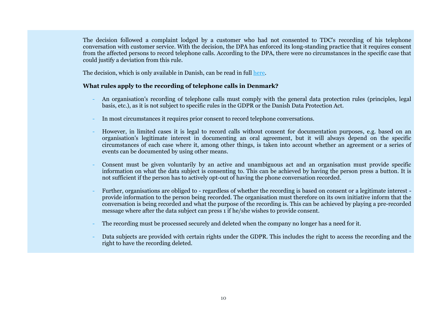The decision followed a complaint lodged by a customer who had not consented to TDC's recording of his telephone conversation with customer service. With the decision, the DPA has enforced its long-standing practice that it requires consent from the affected persons to record telephone calls. According to the DPA, there were no circumstances in the specific case that could justify a deviation from this rule.

The decision, which is only available in Danish, can be read in full [here.](https://www.datatilsynet.dk/tilsyn-og-afgoerelser/afgoerelser/2019/apr/forbud-til-tdc-om-optagelse-af-telefonsamtaler-uden-samtykke/)

### **What rules apply to the recording of telephone calls in Denmark?**

- An organisation's recording of telephone calls must comply with the general data protection rules (principles, legal basis, etc.), as it is not subject to specific rules in the GDPR or the Danish Data Protection Act.
- In most circumstances it requires prior consent to record telephone conversations.
- However, in limited cases it is legal to record calls without consent for documentation purposes, e.g. based on an organisation's legitimate interest in documenting an oral agreement, but it will always depend on the specific circumstances of each case where it, among other things, is taken into account whether an agreement or a series of events can be documented by using other means.
- Consent must be given voluntarily by an active and unambiguous act and an organisation must provide specific information on what the data subject is consenting to. This can be achieved by having the person press a button. It is not sufficient if the person has to actively opt-out of having the phone conversation recorded.
- Further, organisations are obliged to regardless of whether the recording is based on consent or a legitimate interest provide information to the person being recorded. The organisation must therefore on its own initiative inform that the conversation is being recorded and what the purpose of the recording is. This can be achieved by playing a pre-recorded message where after the data subject can press 1 if he/she wishes to provide consent.
- The recording must be processed securely and deleted when the company no longer has a need for it.
- Data subjects are provided with certain rights under the GDPR. This includes the right to access the recording and the right to have the recording deleted.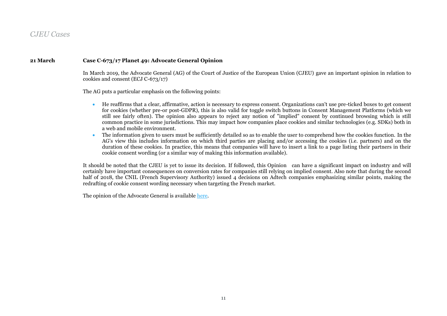## *CJEU Cases*

### **21 March Case C-673/17 Planet 49: Advocate General Opinion**

In March 2019, the Advocate General (AG) of the Court of Justice of the European Union (CJEU) gave an important opinion in relation to cookies and consent (ECJ C-673/17)

The AG puts a particular emphasis on the following points:

- He reaffirms that a clear, affirmative, action is necessary to express consent. Organizations can't use pre-ticked boxes to get consent for cookies (whether pre-or post-GDPR), this is also valid for toggle switch buttons in Consent Management Platforms (which we still see fairly often). The opinion also appears to reject any notion of "implied" consent by continued browsing which is still common practice in some jurisdictions. This may impact how companies place cookies and similar technologies (e.g. SDKs) both in a web and mobile environment.
- The information given to users must be sufficiently detailed so as to enable the user to comprehend how the cookies function. In the AG's view this includes information on which third parties are placing and/or accessing the cookies (i.e. partners) and on the duration of these cookies. In practice, this means that companies will have to insert a link to a page listing their partners in their cookie consent wording (or a similar way of making this information available).

It should be noted that the CJEU is yet to issue its decision. If followed, this Opinion can have a significant impact on industry and will certainly have important consequences on conversion rates for companies still relying on implied consent. Also note that during the second half of 2018, the CNIL (French Supervisory Authority) issued 4 decisions on Adtech companies emphasizing similar points, making the redrafting of cookie consent wording necessary when targeting the French market.

The opinion of the Advocate General is available [here.](http://curia.europa.eu/juris/document/document.jsf?text=&docid=209357&pageIndex=0&doclang=en&mode=req&dir=&occ=first&part=1&cid=1051763)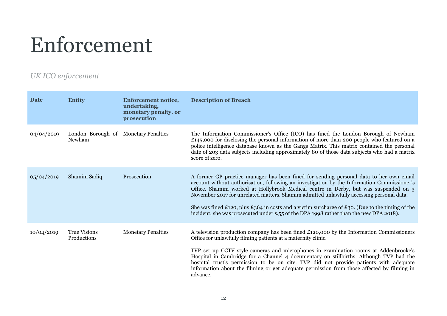## Enforcement

## *UK ICO enforcement*

| <b>Date</b> | <b>Entity</b>                                  | <b>Enforcement notice,</b><br>undertaking,<br>monetary penalty, or<br>prosecution | <b>Description of Breach</b>                                                                                                                                                                                                                                                                                                                                                                                                                                                                                                                                          |
|-------------|------------------------------------------------|-----------------------------------------------------------------------------------|-----------------------------------------------------------------------------------------------------------------------------------------------------------------------------------------------------------------------------------------------------------------------------------------------------------------------------------------------------------------------------------------------------------------------------------------------------------------------------------------------------------------------------------------------------------------------|
| 04/04/2019  | London Borough of Monetary Penalties<br>Newham |                                                                                   | The Information Commissioner's Office (ICO) has fined the London Borough of Newham<br>£145,000 for disclosing the personal information of more than 200 people who featured on a<br>police intelligence database known as the Gangs Matrix. This matrix contained the personal<br>date of 203 data subjects including approximately 80 of those data subjects who had a matrix<br>score of zero.                                                                                                                                                                      |
| 05/04/2019  | Shamim Sadiq                                   | Prosecution                                                                       | A former GP practice manager has been fined for sending personal data to her own email<br>account without authorisation, following an investigation by the Information Commissioner's<br>Office. Shamim worked at Hollybrook Medical centre in Derby, but was suspended on 3<br>November 2017 for unrelated matters. Shamim admitted unlawfully accessing personal data.<br>She was fined £120, plus £364 in costs and a victim surcharge of £30. (Due to the timing of the<br>incident, she was prosecuted under s.55 of the DPA 1998 rather than the new DPA 2018). |
| 10/04/2019  | <b>True Visions</b><br>Productions             | <b>Monetary Penalties</b>                                                         | A television production company has been fined £120,000 by the Information Commissioners<br>Office for unlawfully filming patients at a maternity clinic.<br>TVP set up CCTV style cameras and microphones in examination rooms at Addenbrooke's<br>Hospital in Cambridge for a Channel 4 documentary on stillbirths. Although TVP had the<br>hospital trust's permission to be on site. TVP did not provide patients with adequate<br>information about the filming or get adequate permission from those affected by filming in<br>advance.                         |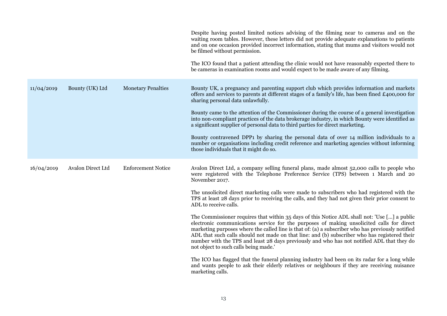|            |                   |                           | Despite having posted limited notices advising of the filming near to cameras and on the<br>waiting room tables. However, these letters did not provide adequate explanations to patients<br>and on one occasion provided incorrect information, stating that mums and visitors would not<br>be filmed without permission.<br>The ICO found that a patient attending the clinic would not have reasonably expected there to<br>be cameras in examination rooms and would expect to be made aware of any filming.                                                                                                                                                                                                                                                                                                                                                                                                                                                                                                                                                                                                                                                                             |
|------------|-------------------|---------------------------|----------------------------------------------------------------------------------------------------------------------------------------------------------------------------------------------------------------------------------------------------------------------------------------------------------------------------------------------------------------------------------------------------------------------------------------------------------------------------------------------------------------------------------------------------------------------------------------------------------------------------------------------------------------------------------------------------------------------------------------------------------------------------------------------------------------------------------------------------------------------------------------------------------------------------------------------------------------------------------------------------------------------------------------------------------------------------------------------------------------------------------------------------------------------------------------------|
| 11/04/2019 | Bounty (UK) Ltd   | <b>Monetary Penalties</b> | Bounty UK, a pregnancy and parenting support club which provides information and markets<br>offers and services to parents at different stages of a family's life, has been fined £400,000 for<br>sharing personal data unlawfully.<br>Bounty came to the attention of the Commissioner during the course of a general investigation<br>into non-compliant practices of the data brokerage industry, in which Bounty were identified as<br>a significant supplier of personal data to third parties for direct marketing.<br>Bounty contravened DPP1 by sharing the personal data of over 14 million individuals to a<br>number or organisations including credit reference and marketing agencies without informing<br>those individuals that it might do so.                                                                                                                                                                                                                                                                                                                                                                                                                               |
| 16/04/2019 | Avalon Direct Ltd | <b>Enforcement Notice</b> | Avalon Direct Ltd, a company selling funeral plans, made almost 52,000 calls to people who<br>were registered with the Telephone Preference Service (TPS) between 1 March and 20<br>November 2017.<br>The unsolicited direct marketing calls were made to subscribers who had registered with the<br>TPS at least 28 days prior to receiving the calls, and they had not given their prior consent to<br>ADL to receive calls.<br>The Commissioner requires that within 35 days of this Notice ADL shall not: 'Use [] a public<br>electronic communications service for the purposes of making unsolicited calls for direct<br>marketing purposes where the called line is that of: (a) a subscriber who has previously notified<br>ADL that such calls should not made on that line: and (b) subscriber who has registered their<br>number with the TPS and least 28 days previously and who has not notified ADL that they do<br>not object to such calls being made.<br>The ICO has flagged that the funeral planning industry had been on its radar for a long while<br>and wants people to ask their elderly relatives or neighbours if they are receiving nuisance<br>marketing calls. |